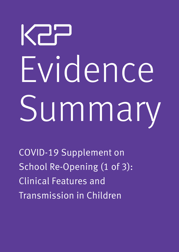# KPP Evidence Summary

COVID-19 Supplement on School Re-Opening (1 of 3): Clinical Features and Transmission in Children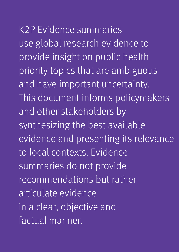## K2P Evidence summaries

use global research evidence to provide insight on public health priority topics that are ambiguous and have important uncertainty. This document informs policymakers and other stakeholders by synthesizing the best available evidence and presenting its relevance to local contexts. Evidence summaries do not provide recommendations but rather articulate evidence in a clear, objective and factual manner.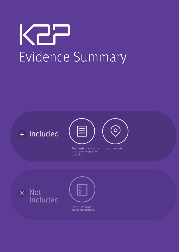## Kap Evidence Summary





Synthesis of evidence on a priority question or topic



Local context





Does not provide recommendations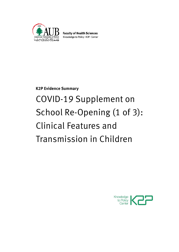

**Faculty of Health Sciences** Knowledge to Policy | K2P | Center

**K2P Evidence Summary**

## COVID-19 Supplement on School Re-Opening (1 of 3): Clinical Features and Transmission in Children

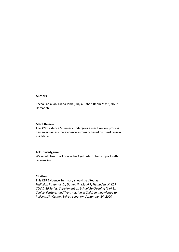## **Authors**

Racha Fadlallah, Diana Jamal, Najla Daher, Reem Masri, Nour Hemadeh

### **Merit Review**

The K2P Evidence Summary undergoes a merit review process. Reviewers assess the evidence summary based on merit review guidelines.

## **Acknowledgement**

We would like to acknowledge Aya Harb for her support with referencing.

### **Citation**

This K2P Evidence Summary should be cited as *Fadlallah R., Jamal, D., Daher, N., Masri R, Hemadeh, N. K2P COVID-19 Series: Supplement on School Re-Opening (1 of 3): Clinical Features and Transmission in Children. Knowledge to Policy (K2P) Center, Beirut, Lebanon, September 14, 2020*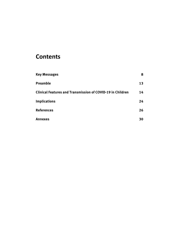## **Contents**

| <b>Key Messages</b>                                               | 8  |
|-------------------------------------------------------------------|----|
| <b>Preamble</b>                                                   | 13 |
| <b>Clinical Features and Transmission of COVID-19 in Children</b> | 14 |
| <b>Implications</b>                                               | 24 |
| <b>References</b>                                                 | 26 |
| Annexes                                                           | 30 |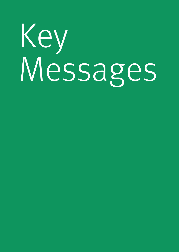# Key Messages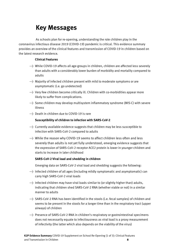## **Key Messages**

<span id="page-7-0"></span>As schools plan for re-opening, understanding the role children play in the coronavirus infectious disease 2019 (COVID-19) pandemic is critical. This evidence summary provides an overview of the clinical features and transmission of COVID-19 in children based on the latest research evidence.

## **Clinical Features**

- → While COVID-19 affects all age-groups in children, children are affected less severely than adults with a considerably lower burden of morbidity and mortality compared to adults
- → Majority of infected children present with mild to moderate symptoms or are asymptomatic (i.e. go undetected)
- → Very few children become critically ill. Children with co-morbidities appear more likely to suffer from complications.
- → Some children may develop multisystem inflammatory syndrome (MIS-C) with severe illness
- → Death in children due to COVID-19 is rare

## **Susceptibility of children to infection with SARS-CoV-2**

- → Currently available evidence suggests that children may be less susceptible to infection with SARS-CoV-2 compared to adults
- → While the reason why COVID-19 seems to affect children less often and less severely than adults is not yet fully understood, emerging evidence suggests that the expression of SARS‐CoV‐2 receptor ACE2 protein is lower in younger children and starts to increase in later childhood

## **SARS-CoV-2 Viral load and shedding in children**

Emerging data on SARS-CoV-2 viral load and shedding suggests the following:

- → Infected children of all ages (including mildly symptomatic and asymptomatic) can carry high SARS-CoV-2 viral loads
- → Infected children may have viral loads similar to (or slightly higher than) adults, indicating that children shed SARS-CoV-2 RNA (whether viable or not) in a similar manner to adults
- → SARS-CoV-2 RNA has been identified in the stools (i.e. fecal samples) of children and seems to be present in the stools for a longer time than in the respiratory tract (upper airways) of children
- → Presence of SARS-CoV-2 RNA in children's respiratory or gastrointestinal specimens does not necessarily equate to infectiousness as viral load is a proxy measurement of infectivity (the latter which also depends on the viability of the virus)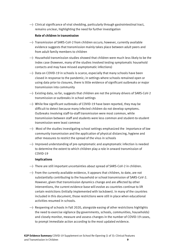→ Clinical significance of viral shedding, particularly through gastrointestinal tract, remains unclear, highlighting the need for further investigation

## **Role of children in transmission**

- → Transmission of SARS-CoV-2 from children occurs; however, currently available evidence suggests that transmission mainly takes place between adult peers and from adult family members to children
- → Household transmission studies showed that children were much less likely to be the index case (however, many of the studies involved testing symptomatic household contacts and may have missed asymptomatic infections)
- → Data on COVID-19 in schools is scarce, especially that many schools have been closed in response to the pandemic; in settings where schools remained open or using data prior to closures, there is little evidence of significant outbreaks or major transmission into community
- → Existing data, so far, suggests that children are not the primary drivers of SARS-CoV-2 transmission or outbreaks in school settings
- → While few significant outbreaks of COVID-19 have been reported, they may be difficult to detect because many infected children do not develop symptoms. Outbreaks involving staff-to-staff transmission were most common, while transmission between staff and students were less common and student-to-student transmission were least common
- → Most of the studies investigating school settings emphasized the importance of low community transmission and the application of physical distancing, hygiene and other measures to restrict the spread of the virus in schools
- → Improved understanding of pre-symptomatic and asymptomatic infection is needed to determine the extent to which children play a role in onward transmission of COVID-19

## **Implications**

- → There are still important uncertainties about spread of SARS-CoV-2 in children.
- → From the currently available evidence, it appears that children, to date, are not substantially contributing to the household or school transmission of SARS-CoV-2. However, given that transmission dynamics change and are affected by other interventions, the current evidence base will evolve as countries continue to lift certain restrictions (initially implemented with lockdown). In many of the countries included in this document, those restrictions were still in place when educational activities resumed in schools.
- → Reopening of schools in Fall 2020, alongside easing of other restrictions highlights the need to exercise vigilance (by governments, schools, communities, households) and closely monitor, measure and assess changes in the number of COVID-19 cases, to prompt immediate action according to the most updated evidence.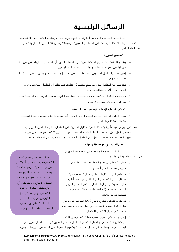## الرسائل الرئيسية

بينما تتحضر المدارس لإعادة فتح أبوابها، من المهم فهم الدور الذي يلعبه الأطفال فس جائحة كوفيد-19. يقدم ملخص الأدلة هذا نظرة عامة على الخصائص السريرية لكوفيد-19 وسبل انتقاله لدى الأطفال بناءً على أحدث األدلة العلمية.

## **الخصائص السريرية**

- ← بينما يطال كوفيد-19 جميع الفئات العمرية لدى الأطفال، الا أن تأثُّر الأطفال بهذا الوباء يأتى أقل حدة من البالغين، مع نسبة إصابة ووفيات منخفضة مقارنة بالبالغين
- ُيظهر معظم األطفال المصابين بكوفيد،19- أعراض خفيفة إلى متوسطة، أو بدون أعراض حتى )أي ال يتم تشخيصهم(
	- عدد قليل من األطفال تكون إصابتهم بكوفيد19- خطيرة. حيث يظهر أن األطفال الذين يعانون من أمراض أخرى، أكثر عرضة للمضاعفات
- قد يصاب الأطفال الذين يعانون من كوفيد-19 بمتلازمة الالتهاب متعدد الأجهزة (MIS-C) بشكل حاد )
	- من النادر وفاة طفل بسبب كوفيد19-

## **تعرض األطفال لإلصابة بفيروس كورونا المستجد**

- نشير الأدلة والبراهين العلمية المتاحة إلى أن الأطفال أقل عرضة للإصابة بفيروس كورونا المستجد → تشير الأدلة مقارنة بالأشخاص البالغين
- في حين أن سبب تأثير كوفيد19- الخفيف وقليل الخطورة على األطفال، مقارنةً بالبالغين، ال يزال غير مفهوم بشكل كامل بعد، تشير الأدلة العلمية المستجدة إلى أن بروتين ACE2، وهو مستقبل لفيروس كورونا المستجد، موجود بنسب أقل لدى الأطفال الأصغر سنًا ويزداد فس مراحل الطفولة اللاحقة

## **الحمل الفيروسي لكوفيد19- وإفرازه**

تشير البيانات العلمية المستجدة عن نسبة وجود الفيروس في الجسم وإفرازه إلى ما يلي:

- $\rightarrow$ يمكن للأطفال من جميع الأعمار حمل نسب عالية من  $\rightarrow$ فيروس كوفيد19- في أجسامهم
- $\rightarrow$  قد يكون لدى الأطفال المصابين، حمل فيروسي لكوفيد-19  $\rightarrow$ مماثل للحمل الفيروسي لدى البالغين )أو بنسب أعلى قليلاً)، ما يشير الى أن الأطفال يطلقون الحمض النووي الريبس الفيروسس (RNA) (سواء كان قابلاً للحياة أم ل*ا*) بطريقة مماثلة للبالغين
- $\rightarrow$ تم تحديد الحمض النووي الريبس (RNA) لفيروس كورونا في براز الأطفال ويبدو أنه يستقر فم البراز لفترة أطول من مدة وجوده فم الجهاز التنفسص للأطفال

الحمل الفيروسي يعني كمية الفيروس فم عينة اختبار مأخوذة من المريض. بالنسبة لـ كوفيد،19- هذا يعني عدد الجينومات الفيروسية التي تم الكشف عنها في مسحة البلعوم الأنفس من المريض، أي في فحص الـ PCR. أما إفراز الفيروس فهي عملية إطالق الفيروس من جسم الشخص المصاب )ممكن عبر النفس، السعال، العطس،البراز، وغيرها...(

> $\rightarrow$  إن وجود الحمض النووي الريبص (RNA) لفيروس كورونا في عينات الجهاز التنفسس أو الجهاز الهضمس للأطفال لا يعنس العدوى لأن نسب الحمل الفيروسس ليست مقياساً لإمكانية نشر أو نقل الفيروس (حيث ترتبط نسب الحمل الفيروسي بحيوية الفيروس).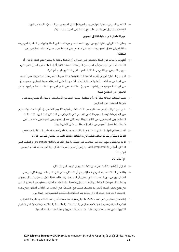التفسير السريري لعملية إفراز فيروس كورونا )إطالق الفيروس من الجسم(، خاصة عبر الجهاز الهضمي، ال يزال غير واضح، ما يظهر الحاجة إلى المزيد من البحوث

## **دور األطفال في عملية انتقال العدوى**

- ← يمكن للأطفال أن ينقلوا فيروس كورونا المستجد، ومع ذلك، تشير الأدلة والبراهين العلمية الموجودة حالًيا إلى أن انتقال العدوى يحدث بشكل أساسي بين أفراد بالغين، ومن أفراد أسرة بالغين إلى األطفال
- أظهرت دراسات حول انتقال العدوى في المنازل، أن األطفال نادًرا ما يكونون هم الحالة األولى أو الأساسية (على الرغم من أن العديد من الدراسات تضمنت اختبار أفراد العائلة فى المنزل التى تظهر عليهم الأعراض، وبالتالي، ربما فاتها الأفراد الذين لا تظهر عليهم أعراض)
- ال بد من اإلشارة الى أن األدلة العلمية الخاصة بكوفيد19- في المدارس قليلة، خصوصًا وأن العديد من المدارس قد أغلقت أبوابها استجابةً للوباء؛ أما في الأماكن التي ظلت فيها المدارس مفتوحة (أو من البيانات المتوفرة قبل إغلاق المدارس) ، فالأدلة التي تشير الى حدوث حالات تفشي كبيرة او نقل العدوى الى المجتمع قليلة
	- ← تشير البيانات المتاحة حالياً إلى أن الأطفال ليسوا المحركين الأساسيين لانتقال أو تفشى فيروس كورونا المستجد في المدارس.
- في حين تم الإبلاغ عن عدد قليل من حالات تفشي كوفيد-19 بين الأطفال، إلا أنها تحدث (وقد يكون من الصعب تشخيصها بسبب النقص النسبى فى الأعراض بين الأطفال المصابين). كانت حالات التفشص بين الموظفين هم الأكثر شيوعًا، بينما كان انتقال العدوى بين الموظفين والطلاب أقل شيوًعا، أما إنتقال العدوى من طالب إلى طالب، فكان األقل شيوًعا.
	- أكدت معظم الدراسات التي تبحث في البيئات المدرسية على أهمية انخفاض االنتقال المجتمعي للوباء وااللتزام بتدابير التباعد اإلجتماعي والنظافة وغيرها للحد من تفشي فيروس كورونا
- الا بد من تطوير فهم المدارس للحالات في مرحلة ما قبل الأعراض (pre-symptomatic) والحالات التي ال تظهر أعراض )asymptomatic )لتحديد إلى أي مدى يلعب األطفال دوًرا في عملية انتشار فيروس كوفيد19-

## **اإلنعكاسات**

- الا تزال الشكوك قائمة حول مدى انتشار فيروس كورونا لدى الأطفال  $\rightarrow$
- بناًء على األدلة العلمية الموجودة حالًيا، يبدو أن األطفال، حتى اآلن، ال يساهمون بشكل كبير في انتشار فيروس كورونا المستجد في المنزل أو المدرسة. ومع ذلك، نظًرا لتغّير ديناميكيات نقل العدوى وانتشارها، مع تغّير اإلجراءات والتدخّالت، فإن قاعدة األدلة العلمية الحالية ستتطور مع استمرار البلدان في رفع بعض القيود (التي تم تنفيذها مبدئيًا مع الإغلاق). في العديد من البلدان المذكورة في هذه الوثيقة، كانت هذه القيود لا تزال سارية عند استئناف الأنشطة التعليمية فى المدارس.
- إعادة فتح المدارس في خريف ،2020 بالتوازي مع تخفيف قيود أخرى، يسلط الضوء على الحاجة إلى توخص الحذر (من قبل الحكومات والمدارس والمجتمعات والعائلات) والمراقبة عن كثب وقياس وتقييم التغييرات في عدد حالات كوفيد-19، لاتخاذ إجراءات فورية وفقًا لأحدث الأدلة العلمية.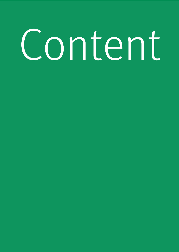# Content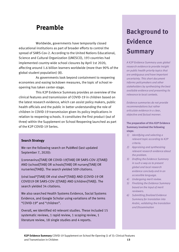## <span id="page-12-0"></span>**Preamble**

Worldwide, governments have temporarily closed educational institutions as part of broader efforts to control the spread of SARS-Cov-2. According to the United Nations Educational, Science and Cultural Organization (UNESCO), 193 countries had implemented country-wide school closures by April 1st 2020, affecting around 1.6 billion learners worldwide (more than 90% of the global student population) (8).

As governments look beyond containment to reopening economies and easing lockdown measures, the topic of school reopening has taken center-stage.

This K2P Evidence Summary provides an overview of the clinical features and transmission of COVID-19 in children based on the latest research evidence, which can assist policy makers, public health officials and the public in better understanding the role of children in COVID-19 transmission given its policy implications in relation to reopening schools. It constitutes the first product (out of three) within the Supplement on School Reopening launched as part of the K2P COVID-19 Series.

## **Search Strategy**

We ran the following search on PubMed (last updated September 7, 2020):

(coronavirus[TIAB] OR COVID-19[TIAB] OR SARS-COV-2[TIAB]) AND (school[TIAB] OR schools[TIAB] OR nursery[TIAB] OR nurseries[TIAB]). The search yielded 509 citations.

(viral load\*[TIAB] OR viral shed\*[TIAB]) AND (COVID-19 OR COVID19 OR SARS-COV-2[TIAB]) AND (children[TIAB]). The search yielded 34 citations.

We also searched Health Systems Evidence, Social Systems Evidence, and Google Scholar using variations of the terms "COVID-19" and "children".

Overall, we identified 40 relevant studies. These included 15 systematic reviews, 1 rapid review, 1 scoping review, 1 literature review, 18 single studies and 4 reports.

## **Background to Evidence Summary**

*A K2P Evidence Summary uses global research evidence to provide insight on public health priority topics that are ambiguous and have important uncertainty. This short document informs policymakers and other stakeholders by synthesizing the best available evidence and presenting its relevance to local contexts.* 

*Evidence summaries do not provide recommendations but rather articulate evidence in a clear, objective and factual manner.*

**The preparation of this K2P Evidence Summary involved the following steps:**

- *1) Identifying and selecting a relevant topic according to K2P criteria.*
- *2) Appraising and synthesizing relevant research evidence about the problem.*
- *3) Drafting the Evidence Summary in such a way as to present global and local research evidence concisely and in an accessible language.*
- *4) Undergoing merit review.*
- *5) Finalizing the Evidence Summary based on the input of merit reviewers.*
- *6) Submitting finalized Evidence Summary for translation into Arabic, validating the translation and Dissemination*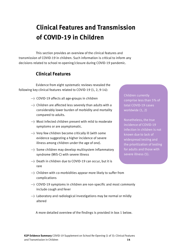## <span id="page-13-0"></span>**Clinical Features and Transmission of COVID-19 in Children**

This section provides an overview of the clinical features and transmission of COVID-19 in children. Such information is critical to inform any decisions related to school re-opening/closure during COVID-19 pandemic.

## **Clinical Features**

Evidence from eight systematic reviews revealed the following key clinical features related to COVID-19 (1, 2, 9-14):

- → COVID-19 affects all age-groups in children
- → Children are affected less severely than adults with a considerably lower burden of morbidity and mortality compared to adults.
- → Most infected children present with mild to moderate symptoms or are asymptomatic.
- → Very few children become critically ill (with some evidence suggesting a higher incidence of severe illness among children under the age of one).
- → Some children may develop multisystem inflammatory syndrome (MIS-C) with severe illness
- → Death in children due to COVID-19 can occur, but it is rare
- $\rightarrow$  Children with co-morbidities appear more likely to suffer from complications
- → COVID-19 symptoms in children are non-specific and most commonly include cough and fever
- → Laboratory and radiological investigations may be normal or mildly altered

A more detailed overview of the findings is provided in box 1 below.

Children currently comprise less than 5% of total COVID-19 cases worldwide (1, 2)

Nonetheless, the true incidence of COVID-19 infection in children is not known due to lack of widespread testing and the prioritization of testing for adults and those with severe illness (5).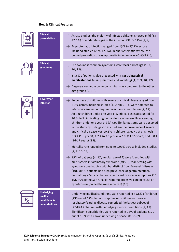## **Box 1: Clinical Features**

| <b>Clinical</b><br>presentation                                | Across studies, the majority of infected children showed mild (33-<br>42.5%) or moderate signs of the infection (39.6-51%) (2, 9).<br>Asymptomatic infection ranged from 15% to 27.7% across<br>included studies (2, 9, 12, 14). In one systematic review, the<br>pooled proportion of asymptomatic infection was 40.45% (13).                                                                                                                                                                                                                                                                                                                                     |
|----------------------------------------------------------------|--------------------------------------------------------------------------------------------------------------------------------------------------------------------------------------------------------------------------------------------------------------------------------------------------------------------------------------------------------------------------------------------------------------------------------------------------------------------------------------------------------------------------------------------------------------------------------------------------------------------------------------------------------------------|
| <b>Clinical</b><br>symptoms                                    | The two most common symptoms were fever and cough (1, 2, 9,<br>$10, 12$ .<br>6-13% of patients also presented with <b>gastrointestinal</b><br>manifestations (mainly diarrhea and vomiting) (1, 2, 9, 10, 12).<br>in infants as compared to the other in Dyspnea was more common in infants as compared to the other<br>age groups (2, 10).                                                                                                                                                                                                                                                                                                                        |
| <b>Severity of</b><br>infection                                | Fercentage of children with severe or critical illness ranged from<br>2-7% across included studies $(1, 2, 9)$ ; 2-3% were admitted to<br>intensive care unit or required mechanical ventilation (2, 12).<br>Among children under one-year old, critical cases accounted for<br>10.6-14%, indicating higher incidence of severe illness among<br>children under one year old (9) (2). Similar patterns were observed<br>in the study by Ludvigsson et al. where the prevalence of severe<br>and critical disease was 10.6% in children aged <1 at diagnosis,<br>7.3% (1-5 years), 4.2% (6-10 years), 4.1% (11-15 years) and 3.0%<br>$(16-17 \text{ years}) (15)$ . |
|                                                                | Mortality rate ranged from none to 0.09% across included studies<br>(2, 9, 10, 12).<br>$\rightarrow$ 15% of patients (n=17, median age of 9) were identified with<br>multisystem inflammatory syndrome (MIS-C), manifesting with<br>symptoms overlapping with but distinct from Kawasaki disease<br>(10). MIS-C patients had high prevalence of gastrointestinal,<br>dermatologic/mucocutaneous, and cardiovascular symptoms (10,<br>16). 65% of the MIS-C cases required intensive care because of<br>hypotension (no deaths were reported) (10).                                                                                                                 |
| <b>Underlying</b><br>medical<br>conditions &<br>co-morbidities | Inderlying medical conditions were reported in 35.6% of children<br>(233 out of 655). Imunocompromised children or those with<br>respiratory/cardiac disease comprised the largest subset of<br>COVID-19 children with underlying medical conditions (2, 12).<br>Significant comorbidities were reported in 22% of patients (129<br>out of 587) with known underlying disease status (2).                                                                                                                                                                                                                                                                          |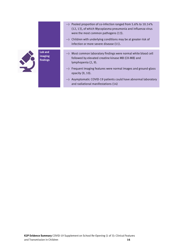|                                | • Pooled proportion of co-infection ranged from 5.6% to 10.14%<br>(12, 13), of which Mycoplasma pneumonia and influenza virus<br>were the most common pathogens (13).<br>Ehildren with underlying conditions may be at greater risk of<br>infection or more severe disease (11). |
|--------------------------------|----------------------------------------------------------------------------------------------------------------------------------------------------------------------------------------------------------------------------------------------------------------------------------|
| Lab and<br>imaging<br>findings | Most common laboratory findings were normal white blood cell<br>followed by elevated creatine kinase MB (CK-MB) and<br>lymphopenia (2, 9).<br>Frequent imaging features were normal images and ground-glass<br>opacity (9, 10).                                                  |
|                                | Asymptomatic COVID-19 patients could have abnormal laboratory<br>and radiational manifestations (14)                                                                                                                                                                             |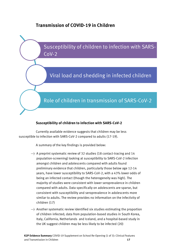## **Transmission of COVID-19 in Children**

Susceptibility of children to infection with SARS-CoV-2

## Viral load and shedding in infected children

## Role of children in transmission of SARS-CoV-2

## **Susceptibility of children to infection with SARS-CoV-2**

Currently available evidence suggests that children may be less susceptible to infection with SARS-CoV-2 compared to adults (17-19).

A summary of the key findings is provided below:

- $\rightarrow$  A preprint systematic review of 32 studies (18 contact-tracing and 14 population-screening) looking at susceptibility to SARS-CoV-2 infection amongst children and adolescents compared with adults found preliminary evidence that children, particularly those below age 12-14 years, have lower susceptibility to SARS-CoV-2, with a 43% lower odds of being an infected contact (though the heterogeneity was high). The majority of studies were consistent with lower seroprevalence in children compared with adults. Data specifically on adolescents are sparse, but consistent with susceptibility and seroprevalence in adolescents more similar to adults. The review provides no information on the infectivity of children (17)
- → Another systematic review identified six studies estimating the proportion of children infected; data from population-based studies in South Korea, Italy, California, Netherlands and Iceland, and a hospital-based study in the UK suggest children may be less likely to be infected (20)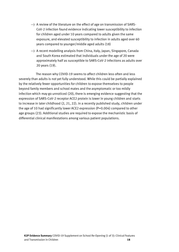- $\rightarrow$  A review of the literature on the effect of age on transmission of SARS-CoV-2 infection found evidence indicating lower susceptibility to infection for children aged under 10 years compared to adults given the same exposure, and elevated susceptibility to infection in adults aged over 60 years compared to younger/middle aged adults (18)
- → A recent modelling analysis from China, Italy, Japan, Singapore, Canada and South Korea estimated that individuals under the age of 20 were approximately half as susceptible to SARS-CoV-2 infections as adults over 20 years (19).

The reason why COVID-19 seems to affect children less often and less severely than adults is not yet fully understood. While this could be partially explained by the relatively fewer opportunities for children to expose themselves to people beyond family members and school mates and the asymptomatic or too mildly infection which may go unnoticed (20), there is emerging evidence suggesting that the expression of SARS‐CoV‐2 receptor ACE2 protein is lower in young children and starts to increase in later childhood (2, 21, 22). In a recently published study, children under the age of 10 had significantly lower ACE2 expression (P=0.004) compared to other age groups (23). Additional studies are required to expose the mechanistic basis of differential clinical manifestations among various patient populations.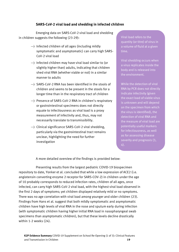## **SARS-CoV-2 viral load and shedding in infected children**

Emerging data on SARS-CoV-2 viral load and shedding in children suggests the following (23-29):

- → Infected children of all ages (including mildly symptomatic and asymptomatic) can carry high SARS-CoV-2 viral load
- → Infected children may have viral load similar to (or slightly higher than) adults, indicating that children shed viral RNA (whether viable or not) in a similar manner to adults
- → SARS-CoV-2 RNA has been identified in the stools of children and seems to be present in the stools for a longer time than in the respiratory tract of children
- → Presence of SARS-CoV-2 RNA in children's respiratory or gastrointestinal specimens does not directly equate to infectiousness as viral load is a proxy measurement of infectivity and, thus, may not necessarily translate to transmissibility.
- → Clinical significance SARS-CoV-2 viral shedding, particularly via the gastrointestinal tract remains unclear, highlighting the need for further investigation

Viral load refers to the quantity (or titre) of virus in a volume of fluid at a given time.

Viral shedding occurs when a virus replicates inside the body and is released into the environment.

While the detection of viral RNA by PCR does not directly indicate infectivity (given the exact load of viable virus is unknown and will depend on the specimen from which the virus is identified), the detection of viral RNA and the measure of viral load are potentially useful markers for infectiousness, as well as for assessing disease severity and prognosis (3, 4).

A more detailed overview of the findings is provided below:

Presenting results from the largest pediatric COVID-19 biospecimen repository to date, Yonker et al. concluded that while a low expression of ACE2 (i.e. angiotensin converting enzyme 2 receptor for SARS-COV-2) in children under the age of 10 probably corresponds to reduced infection rates, children of all ages, once infected, can carry high SARS-CoV-2 viral load, with the highest viral load observed in the first 2 days of symptoms; yet children displayed relatively mild or no symptoms. There was no age correlation with viral load among younger and older children (23). Findings from Hans et al. suggest that both mildly symptomatic and asymptomatic children have high levels of viral RNA in the nose and sputum early during infection (with symptomatic children having higher initial RNA load in nasopharyngeal swab specimens than asymptomatic children), but that these levels decline drastically within 1-2 weeks (24).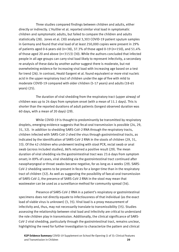Three studies compared findings between children and adults, either directly or indirectly. L'Huillier et al. reported similar viral load in symptomatic children and symptomatic adults, but failed to compare the children and adults statistically (28). Jones et al. (30) analyzed 3,303 COVID-19 patient sputum samples in Germany and found that viral load of at least 250,000 copies were present in 29% of patients aged 0-6 years old (n=38), 37.3% of those aged 0-19 (n=150), and 51.4% of those aged 20 and above (n=3153) (30). While the authors concluded that infected people in all age groups can carry viral load likely to represent infectivity, a secondary re-analysis of these data by another author suggest there is moderate, but not overwhelming evidence for increasing viral load with increasing age based on a test for trend (26). In contrast, Heald-Sargent et al. found equivalent or more viral nucleic acid in the upper respiratory tract of children under the age of five with mild to moderate COVID-19 compared with older children (5-17 years) and adults (18-65 years) (25).

The duration of viral shedding from the respiratory tract (upper airway) of children was up to 24 days from symptom onset (with a mean of 11.1 days). This is shorter than the reported durations of adult patients (longest observed duration was 60 days, with a mean of 20 days) (29).

While COVID-19 is thought to predominantly be transmitted by respiratory droplets, emerging evidence suggests that fecal-oral transmission is possible (24, 29, 31, 32). In addition to shedding SARS-CoV-2 RNA through the respiratory tracts, children infected with SARS-CoV-2 shed the virus through gastrointestinal tracts, as indicated by the identification of SARS-CoV-2 RNA in the stools of children (29, 31, 33). Of the 42 children who underwent testing with stool PCR, rectal swab or anal swab (across included studies), 86% returned a positive result (29). The mean duration of viral shedding via the gastrointestinal tract was 23.6 days from symptom onset; in 89% of cases, viral shedding via the gastrointestinal tract continued after nasopharyngeal or throat swabs became negative, for as long as 4 weeks (29). SARS-CoV-2 shedding seems to be present in feces for a longer time than in the respiratory tract of children (32). As well as suggesting the possibility of faecal-oral transmission of SARS-CoV-2, the presence of SARS-CoV-2 RNA in the stool may mean that wastewater can be used as a surveillance method for community spread (34).

Presence of SARS-CoV-2 RNA in a patient's respiratory or gastrointestinal specimens does not directly equate to infectiousness of that individual (as the exact load of viable virus is unknown) (3, 35). Viral load is a proxy measurement of infectivity and, thus, may not necessarily translate to transmissibility (35). Studies assessing the relationship between viral load and infectivity are critical to understand the role children play in transmission. Additionally, the clinical significance of SARS-CoV-2 viral shedding, particularly through the gastrointestinal tract, remains unclear, highlighting the need for further investigation to characterize the pattern and clinical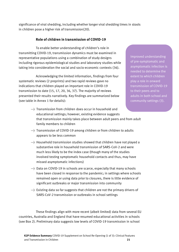significance of viral shedding, including whether longer viral shedding times in stools in children pose a higher risk of transmission(20).

## **Role of children in transmission of COVID-19**

To enable better understanding of children's role in transmitting COVID-19, transmission dynamics must be examined in representative populations using a combination of study designs including rigorous epidemiological studies and laboratory studies while taking into consideration the social and socio-economic contexts (36).

Acknowledging the limited information, findings from four systematic reviews (2 preprints) and two rapid reviews gave no indications that children played an important role in COVID-19 transmission to date (15, 17, 20, 36, 37). The majority of reviews presented their results narratively. Key findings are summarized below (see table in Annex 1 for details):

Improved understanding of pre-symptomatic and asymptomatic infection is needed to determine the extent to which children play a role in onward transmission of COVID-19 to their peers and to adults in both school and community settings (3).

- → Transmission from children does occur in household and educational settings; however, existing evidence suggests that transmission mainly takes place between adult peers and from adult family members to children
- → Transmission of COVID-19 among children or from children to adults appears to be less common
- → Household transmission studies showed that children have not played a substantive role in household transmission of SARS-CoV-2 and were much less likely to be the index case (though many of the studies involved testing symptomatic household contacts and thus, may have missed asymptomatic infections)
- → Data on COVID-19 in schools are scarce, especially that many schools have been closed in response to the pandemic; in settings where schools remained open or using data prior to closures, there is little evidence of significant outbreaks or major transmission into community
- → Existing data so far suggests that children are not the primary drivers of SARS-CoV-2 transmission or outbreaks in school settings

These findings align with more recent (albeit limited) data from several EU countries, Australia and England that have resumed educational activities in schools (see Box 2). Preliminary data suggests low levels of COVID-19 transmission in school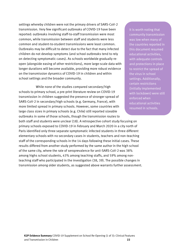settings whereby children were not the primary drivers of SARS-CoV-2 transmission. Very few significant outbreaks of COVID-19 have been reported: outbreaks involving staff-to-staff transmission were most common, while transmission between staff and students were less common and student-to-student transmissions were least common. Outbreaks may be difficult to detect due to the fact that many infected children do not develop symptoms (and school outbreaks tend to rely on detecting symptomatic cases). As schools worldwide gradually reopen (alongside easing of other restrictions), more large-scale data with longer durations will become available, providing more robust evidence on the transmission dynamics of COVID-19 in children and within school settings and the broader community.

While none of the studies compared secondary/high schools to primary school, a pre-print literature review on COVID-19 transmission in children suggested the presence of stronger spread of SARS-CoV-2 in secondary/high schools (e.g. Germany, France), with more limited spread in primary schools. However, some countries with large class sizes in primary schools (e.g. Chile) still reported sizeable outbreaks in some of those schools, though the transmission routes to

both staff and students were unclear (18). A retrospective cohort study focusing on primary schools exposed to COVID-19 in February and March 2020 in a city north of Paris identified only three separate symptomatic infected students in three different elementary schools with no secondary cases in students, teachers and non-teaching staff of the corresponding schools in the 14 days following these initial cases. These results differed from another study performed by the same author in the high school of the same city, where the rate of seroprevalence for anti-SARS-CoV-2 was 38% among highs school students, 43% among teaching staffs, and 59% among nonteaching staff who participated in the investigation (38, 39). The possible changes in transmission among older students, as suggested above warrants further assessment.

It is worth noting that community transmission was low when many of the countries reported in this document resumed educational activities, with adequate controls and protections in place to restrict the spread of the virus in school settings. Additionally, certain restrictions (initially implemented with lockdown) were still enforced when educational activities resumed in schools.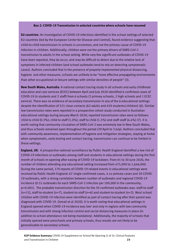## **Box 2: COVID-19 Transmission in selected countries where schools have resumed**

**EU countries**: An investigation of COVID-19 infections identified in the school settings of selected EU countries (led by the European Center for Disease and Control), found evidence suggesting that child-to-child transmission in schools is uncommon, and not the primary cause of COVID-19 infection in children. Additionally, children were not the primary drivers of SARS-CoV-2 transmission to adults in the school setting. While very few significant outbreaks of COVID-19 have been reported, they do occur, and may be difficult to detect due to the relative lack of symptoms in infected children (and school outbreaks tend to rely on detecting symptomatic cases). Authors concluded that in the presence of properly implemented physical distancing, hygiene and other measures, schools are unlikely to be "more effective propagating environments than other occupational or leisure settings with similar densities of people" (3).

**New South Wales, Australia**: A national contact tracing study in all schools and early childhood education and care services (ECEC) between April and July 2020 identified 6 confirmed cases of COVID-19 (4 students and 2 staff) from 6 schools (3 primary schools, 2 high schools and 1 ECEC service). There was no evidence of secondary transmission in any of the 6 educational settings despite the identification of 521 close contacts (62 adults and 459 students/children) (6). Similar low transmission rates were reported in a prospective cohort study conducted in Australian educational settings during January-March 2020; reported transmission rates were as follows: child to child  $(0.3\%)$ ; child to staff  $(1.0\%)$ ; staff to child  $(1.5\%)$  and staff-staff  $(4.4\%)$   $(7)$ . It is worth noting that community circulation of SARS-CoV-2 was extremely low in New South Wales, and thus schools remained open throughout the period (29 April to 3 July). Authors concluded that with community awareness, implementation of hygiene and mitigation strategies, staying at home when symptomatic, early testing and contact tracing, transmission can continue to be limited in these settings.

**England, UK**: A prospective national surveillance by Public Health England identified a low risk of COVID-19 infections or outbreaks among staff and students in educational settings during the first month of schools re-opening after easing of COVID-19 lockdown. From 01 to 30 June 2020, the number of children attending any educational setting increased from 475,000 to 1,646,000. During the same period, 170 reports of COVID-19-related events in educational settings were received by Public Health England: 67 single confirmed cases, 4 co-primary cases and 30 COVID-19 outbreaks, with a strong correlation between number of outbreaks and regional COVID-19 incidence (0.51 outbreaks for each SARS-CoV-2 infection per 100,000 in the community; p=0.001). The probable transmission direction for the 30 confirmed outbreaks was: staff-to-staff (n=15), staff-to-student (n=7), student-to-staff (n=6) and student-to-student (n=2). Most school children with COVID-19 infection were identified as part of contact tracing after their parent was diagnosed with COVID-19. (Ismail et al 2020). It is worth noting that educational settings in England opened when COVID-19 incidence was low<sup>1</sup> and only in regions with low community transmission and with strong infection control and social distancing measures in place (in addition to school attendance not being mandatory). Additionally, the majority of schools that initially opened were preschools and primary schools, thus results are not likely to be generalizable to secondary schools.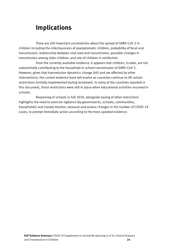## <span id="page-23-0"></span>**Implications**

There are still important uncertainties about the spread of SARS-CoV-2 in children including the infectiousness of asymptomatic children, probability of fecal-oral transmission, relationship between viral load and transmission, possible changes in transmission among older children, and role of children in reinfection.

From the currently available evidence, it appears that children, to date, are not substantially contributing to the household or school transmission of SARS-CoV-2. However, given that transmission dynamics change (40) and are affected by other interventions, the current evidence base will evolve as countries continue to lift certain restrictions (initially implemented during lockdown). In many of the countries reported in this document, those restrictions were still in place when educational activities resumed in schools.

Reopening of schools in Fall 2020, alongside easing of other restrictions highlights the need to exercise vigilance (by governments, schools, communities, households) and closely monitor, measure and assess changes in the number of COVID-19 cases, to prompt immediate action according to the most updated evidence.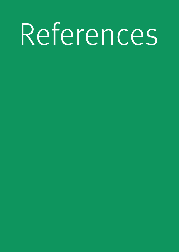## References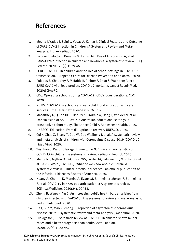## <span id="page-25-0"></span>**References**

- 1. Meena J, Yadav J, Saini L, Yadav A, Kumar J. Clinical Features and Outcome of SARS-CoV-2 Infection in Children: A Systematic Review and Metaanalysis. Indian Pediatr. 2020.
- 2. Liguoro I, Pilotto C, Bonanni M, Ferrari ME, Pusiol A, Nocerino A, et al. SARS-COV-2 infection in children and newborns: a systematic review. Eur J Pediatr. 2020;179(7):1029-46.
- 3. ECDC. COVID-19 in children and the role of school settings in COVID-19 transmission. European Centre for Disease Prevention and Control. 2020.
- 4. Pujadas E, Chaudhry F, McBride R, Richter F, Zhao S, Wajnberg A, et al. SARS-CoV-2 viral load predicts COVID-19 mortality. Lancet Respir Med. 2020;8(9):e70.
- 5. CDC. Operating schools during COVID-19: CDC's Considerations. CDC. 2020.
- 6. NCIRS. COVID-19 in schools and early childhood education and care services – the Term 2 experience in NSW. 2020.
- 7. Macartney K, Quinn HE, Pillsbury AJ, Koirala A, Deng L, Winkler N, et al. Transmission of SARS-CoV-2 in Australian educational settings: a prospective cohort study. The Lancet Child & Adolescent Health. 2020.
- 8. UNESCO. Education: From disruption to recovery UNESCO. 2020.
- 9. Cui X, Zhao Z, Zhang T, Guo W, Guo W, Zheng J, et al. A systematic review and meta-analysis of children with Coronavirus Disease 2019 (COVID-19). J Med Virol. 2020.
- 10. Yasuhara J, Kuno T, Takagi H, Sumitomo N. Clinical characteristics of COVID‐19 in children: a systematic review. Pediatr Pulmonol. 2020.
- 11. Mehta NS, Mytton OT, Mullins EWS, Fowler TA, Falconer CL, Murphy OB, et al. SARS-CoV-2 (COVID-19): What do we know about children? A systematic review. Clinical infectious diseases : an official publication of the Infectious Diseases Society of America. 2020.
- 12. Hoang A, Chorath K, Moreira A, Evans M, Burmeister-Morton F, Burmeister F, et al. COVID-19 in 7780 pediatric patients: A systematic review. EClinicalMedicine. 2020;24:100433.
- 13. Zheng B, Wang H, Yu C. An increasing public health burden arising from children infected with SARS-CoV2: a systematic review and meta-analysis. Pediatr Pulmonol. 2020.
- 14. He J, Guo Y, Mao R, Zhang J. Proportion of asymptomatic coronavirus disease 2019: A systematic review and meta-analysis. J Med Virol. 2020.
- 15. Ludvigsson JF. Systematic review of COVID-19 in children shows milder cases and a better prognosis than adults. Acta Paediatr. 2020;109(6):1088-95.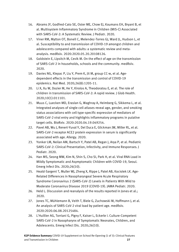- 16. Abrams JY, Godfred-Cato SE, Oster ME, Chow EJ, Koumans EH, Bryant B, et al. Multisystem Inflammatory Syndrome in Children (MIS-C) Associated with SARS-CoV-2: A Systematic Review. J Pediatr. 2020.
- 17. Viner RM, Mytton OT, Bonell C, Melendez-Torres GJ, Ward JL, Hudson L, et al. Susceptibility to and transmission of COVID-19 amongst children and adolescents compared with adults: a systematic review and metaanalysis. medRxiv. 2020:2020.05.20.20108126.
- 18. Goldstein E, Lipsitch M, Cevik M. On the effect of age on the transmission of SARS-CoV-2 in households, schools and the community. medRxiv. 2020.
- 19. Davies NG, Klepac P, Liu Y, Prem K, Jit M, group CC-w, et al. Agedependent effects in the transmission and control of COVID-19 epidemics. Nat Med. 2020;26(8):1205-11.
- 20. Li X, Xu W, Dozier M, He Y, Kirolos A, Theodoratou E, et al. The role of children in transmission of SARS-CoV-2: A rapid review. J Glob Health. 2020;10(1):011101.
- 21. Muus C, Luecken MD, Eraslan G, Waghray A, Heimberg G, Sikkema L, et al. Integrated analyses of single-cell atlases reveal age, gender, and smoking status associations with cell type-specific expression of mediators of SARS-CoV-2 viral entry and highlights inflammatory programs in putative target cells. BioRxiv. 2020:2020.04.19.049254.
- 22. Pavel AB, Wu J, Renert-Yuval Y, Del Duca E, Glickman JW, Miller RL, et al. SARS-CoV-2 receptor ACE2 protein expression in serum is significantly associated with age. Allergy. 2020.
- 23. Yonker LM, Neilan AM, Bartsch Y, Patel AB, Regan J, Arya P, et al. Pediatric SARS-CoV-2: Clinical Presentation, Infectivity, and Immune Responses. J Pediatr. 2020.
- 24. Han MS, Seong MW, Kim N, Shin S, Cho SI, Park H, et al. Viral RNA Load in Mildly Symptomatic and Asymptomatic Children with COVID-19, Seoul. Emerg Infect Dis. 2020;26(10).
- 25. Heald-Sargent T, Muller WJ, Zheng X, Rippe J, Patel AB, Kociolek LK. Age-Related Differences in Nasopharyngeal Severe Acute Respiratory Syndrome Coronavirus 2 (SARS-CoV-2) Levels in Patients With Mild to Moderate Coronavirus Disease 2019 (COVID-19). JAMA Pediatr. 2020.
- 26. Held L. Discussion and reanalysis of the results reported in Jones et al.; 2020.
- 27. Jones TC, Mühlemann B, Veith T, Biele G, Zuchowski M, Hoffmann J, et al. An analysis of SARS-CoV-2 viral load by patient age. medRxiv. 2020:2020.06.08.20125484.
- 28. L'Huillier AG, Torriani G, Pigny F, Kaiser L, Eckerle I. Culture-Competent SARS-CoV-2 in Nasopharynx of Symptomatic Neonates, Children, and Adolescents. Emerg Infect Dis. 2020;26(10).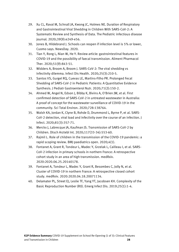- 29. Xu CL, Raval M, Schnall JA, Kwong JC, Holmes NE. Duration of Respiratory and Gastrointestinal Viral Shedding in Children With SARS-CoV-2: A Systematic Review and Synthesis of Data. The Pediatric infectious disease journal. 2020;39(9):e249-e56.
- 30. Jones B, Hildebrand J. Schools can reopen if infection level is 5% or lower, Cuomo says. NewsDay. 2020.
- 31. Tian Y, Rong L, Nian W, He Y. Review article: gastrointestinal features in COVID-19 and the possibility of faecal transmission. Aliment Pharmacol Ther. 2020;51(9):843-51.
- 32. Widders A, Broom A, Broom J. SARS-CoV-2: The viral shedding vs infectivity dilemma. Infect Dis Health. 2020;25(3):210-5.
- 33. Santos VS, Gurgel RQ, Cuevas LE, Martins-Filho PR. Prolonged Fecal Shedding of SARS-CoV-2 in Pediatric Patients: A Quantitative Evidence Synthesis. J Pediatr Gastroenterol Nutr. 2020;71(2):150-2.
- 34. Ahmed W, Angel N, Edson J, Bibby K, Bivins A, O'Brien JW, et al. First confirmed detection of SARS-CoV-2 in untreated wastewater in Australia: A proof of concept for the wastewater surveillance of COVID-19 in the community. Sci Total Environ. 2020;728:138764.
- 35. Walsh KA, Jordan K, Clyne B, Rohde D, Drummond L, Byrne P, et al. SARS-CoV-2 detection, viral load and infectivity over the course of an infection. J Infect. 2020;81(3):357-71.
- 36. Merckx J, Labrecque JA, Kaufman JS. Transmission of SARS-CoV-2 by Children. Dtsch Arztebl Int. 2020;117(33-34):553-60.
- 37. Rajmil L. Role of children in the transmission of the COVID-19 pandemic: a rapid scoping review. BMJ paediatrics open. 2020;4(1).
- 38. Fontanet A, Grant R, Tondeur L, Madec Y, Grzelak L, Cailleau I, et al. SARS-CoV-2 infection in primary schools in northern France: A retrospective cohort study in an area of high transmission. medRxiv. 2020:2020.06.25.20140178.
- 39. Fontanet A, Tondeur L, Madec Y, Grant R, Besombes C, Jolly N, et al. Cluster of COVID-19 in northern France: A retrospective closed cohort study. medRxiv. 2020:2020.04.18.20071134.
- 40. Delamater PL, Street EJ, Leslie TF, Yang YT, Jacobsen KH. Complexity of the Basic Reproduction Number (R0). Emerg Infect Dis. 2019;25(1):1-4.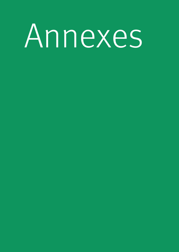# Annexes

- 
- 
- -
- 
-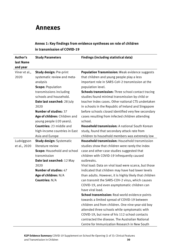## <span id="page-29-0"></span>**Annexes**

|          | Annex 1: Key findings from evidence syntheses on role of children |                                              |
|----------|-------------------------------------------------------------------|----------------------------------------------|
|          | in transmission of COVID-19                                       |                                              |
| Author's | <b>Study Parameters</b>                                           | <b>Findings (including statistical data)</b> |

| Annex 1: Key findings from evidence syntheses on role of children |
|-------------------------------------------------------------------|
| in transmission of COVID-19                                       |

| last Name     |                                    |                                                           |
|---------------|------------------------------------|-----------------------------------------------------------|
| and year      |                                    |                                                           |
| Viner et al., | <b>Study design: Pre-print</b>     | <b>Population Transmission: Weak evidence suggests</b>    |
| 2020          | systematic review and meta-        | that children and young people play a less                |
|               | analysis                           | important role in SARS-CoV-2 transmission at the          |
|               | <b>Scope: Population</b>           | population level.                                         |
|               | transmissions including            | <b>Schools transmission:</b> Three school contact tracing |
|               | schools and household.             | studies found minimal transmission by child or            |
|               | Date last searched: 28 July        | teacher index cases. Other national CTS undertaken        |
|               | 2020                               | in schools in the Republic of Ireland and Singapore       |
|               | <b>Number of studies: 37</b>       | before schools closed identified very few secondary       |
|               | Age of children: Children and      | cases resulting from infected children attending          |
|               | young people (<20 years).          | school.                                                   |
|               | <b>Countries:</b> 23 middle and    | <b>Household transmission: A national South Korean</b>    |
|               | high-income countries in East      | study, found that secondary attack rate from              |
|               | Asia and Europe                    | children to household members was extremely low           |
| Ludviggson    | <b>Study design: Systematic</b>    | <b>Household transmission: Household transmission</b>     |
| et al., 2020  | literature review                  | studies show that children were rarely the index          |
|               | <b>Scope: Household and school</b> | case and other case studies suggested that                |
|               | transmission                       | children with COVID-19 infrequently caused                |
|               | Date last searched: 12 May         | outbreaks.                                                |
|               | 2020                               | Viral load: Data on viral load were scarce, but those     |
|               | Number of studies: 47              | indicated that children may have had lower levels         |
|               | Age of children: N/A               | than adults. However, it is highly likely that children   |
|               | <b>Countries: N/A</b>              | can transmit the SARS-COV-2 virus, which causes           |
|               |                                    | COVID-19, and even asymptomatic children can              |
|               |                                    | have viral load.                                          |
|               |                                    | School transmission: Real-world evidence points           |
|               |                                    | towards a limited spread of COVID-19 between              |
|               |                                    | children and from children. One nine-year-old boy         |
|               |                                    | attended three schools while symptomatic with             |
|               |                                    | COVID-19, but none of his 112 school contacts             |
|               |                                    | contracted the disease. The Australian National           |
|               |                                    | Centre for Immunization Research in New South             |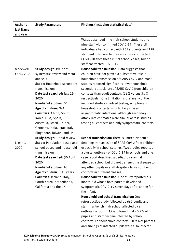| Author's           | <b>Study Parameters</b>                                                                                                                                                                                                                                                                                                                     | <b>Findings (including statistical data)</b>                                                                                                                                                                                                                                                                                                                                                                                                                                                                                                                                                                                                                                                                                                                                                                                                                                         |
|--------------------|---------------------------------------------------------------------------------------------------------------------------------------------------------------------------------------------------------------------------------------------------------------------------------------------------------------------------------------------|--------------------------------------------------------------------------------------------------------------------------------------------------------------------------------------------------------------------------------------------------------------------------------------------------------------------------------------------------------------------------------------------------------------------------------------------------------------------------------------------------------------------------------------------------------------------------------------------------------------------------------------------------------------------------------------------------------------------------------------------------------------------------------------------------------------------------------------------------------------------------------------|
| last Name          |                                                                                                                                                                                                                                                                                                                                             |                                                                                                                                                                                                                                                                                                                                                                                                                                                                                                                                                                                                                                                                                                                                                                                                                                                                                      |
| and year           |                                                                                                                                                                                                                                                                                                                                             |                                                                                                                                                                                                                                                                                                                                                                                                                                                                                                                                                                                                                                                                                                                                                                                                                                                                                      |
|                    |                                                                                                                                                                                                                                                                                                                                             | Wales described nine high-school students and<br>nine staff with confirmed COVID-19. These 18<br>individuals had contact with 735 students and 128<br>staff and only two children may have contracted<br>COVID-10 from these initial school cases, but no<br>staff contracted COVID-19                                                                                                                                                                                                                                                                                                                                                                                                                                                                                                                                                                                               |
| Madewell           | <b>Study design: Pre-print</b>                                                                                                                                                                                                                                                                                                              | Household transmission: Data suggests that                                                                                                                                                                                                                                                                                                                                                                                                                                                                                                                                                                                                                                                                                                                                                                                                                                           |
| et al., 2020       | systematic review and meta-<br>analysis<br><b>Scope: Household secondary</b><br>transmissions<br>Date last searched: July 29,<br>2020<br>Number of studies: 40<br>Age of children: N/A<br><b>Countries: China, South</b><br>Korea, USA, Spain,<br>Australia, Brazil, Brunei,<br>Germany, India, Israel Italy,<br>Singapore, Taiwan, and UK. | children have not played a substantive role in<br>household transmission of SARS-CoV-2 and most<br>studies reported significantly lower household<br>secondary attack rate of SARS-CoV-2 from children<br>contacts than adult contacts (16% versus 31 %,<br>respectively). One limitation is that many of the<br>included studies involved testing symptomatic<br>household contacts, which likely missed<br>asymptomatic infections, although secondary<br>attack rate estimates were similar across studies<br>testing all contacts and only symptomatic contacts.                                                                                                                                                                                                                                                                                                                 |
|                    | <b>Study design: Rapid review</b>                                                                                                                                                                                                                                                                                                           | <b>School transmission:</b> There is limited evidence                                                                                                                                                                                                                                                                                                                                                                                                                                                                                                                                                                                                                                                                                                                                                                                                                                |
| Li et al.,<br>2020 | <b>Scope: Population-based and</b><br>school-based and household<br>transmission<br>Date last searched: 30 April<br>2020<br>Number of studies: 16<br>Age of children: 0-18 years<br>Countries: Iceland, Italy,<br>South Korea, Netherlands,<br>California and the UK.                                                                       | detailing transmission of SARS-CoV-2 from children<br>especially in school settings. Two studies reported<br>a cluster outbreak of COVID-19 in schools and one<br>case report described a pediatric case that<br>attended school but did not transmit the disease to<br>any other pupils or staff despite a large number of<br>contacts in different classes.<br>Household transmission: One study reported a 3-<br>month-old whose both parents developed<br>symptomatic COVID-19 seven days after caring for<br>the infant.<br>Household and school transmission: One<br>retrospective study followed up 661 pupils and<br>staff in a French high school affected by an<br>outbreak of COVID-19 and found that 40.9% of<br>pupils and staff became infected by school<br>contacts. For household contacts, 10.9% of parents<br>and siblings of infected pupils were also infected. |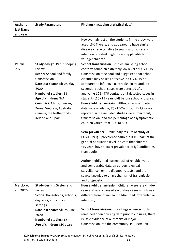| Author's               | <b>Study Parameters</b>                                                                                                                                                                                                                                                                                   | <b>Findings (including statistical data)</b>                                                                                                                                                                                                                                                                                                                                                                                                                                                                                                                                                                                                                                                                                                                                                                                                                                                                                                                                                                                                                    |
|------------------------|-----------------------------------------------------------------------------------------------------------------------------------------------------------------------------------------------------------------------------------------------------------------------------------------------------------|-----------------------------------------------------------------------------------------------------------------------------------------------------------------------------------------------------------------------------------------------------------------------------------------------------------------------------------------------------------------------------------------------------------------------------------------------------------------------------------------------------------------------------------------------------------------------------------------------------------------------------------------------------------------------------------------------------------------------------------------------------------------------------------------------------------------------------------------------------------------------------------------------------------------------------------------------------------------------------------------------------------------------------------------------------------------|
| last Name              |                                                                                                                                                                                                                                                                                                           |                                                                                                                                                                                                                                                                                                                                                                                                                                                                                                                                                                                                                                                                                                                                                                                                                                                                                                                                                                                                                                                                 |
| and year               |                                                                                                                                                                                                                                                                                                           |                                                                                                                                                                                                                                                                                                                                                                                                                                                                                                                                                                                                                                                                                                                                                                                                                                                                                                                                                                                                                                                                 |
|                        |                                                                                                                                                                                                                                                                                                           | However, almost all the students in the study were<br>aged 15-17 years, and appeared to have similar<br>disease characteristics to young adults. Rate of<br>infection reported might be not applicable to<br>younger children.                                                                                                                                                                                                                                                                                                                                                                                                                                                                                                                                                                                                                                                                                                                                                                                                                                  |
| Rajmil,<br>2020        | <b>Study design: Rapid scoping</b><br>review<br><b>Scope:</b> School and family<br>transmission<br>Date last searched: 28 May<br>2020<br><b>Number of studies: 14</b><br>Age of children: N/A<br>Countries: China, Taiwan,<br>Korea, Vietnam, Australia,<br>Geneva, the Netherlands,<br>Ireland and Spain | <b>School transmission:</b> Studies analyzing school<br>contacts found an extremely low level of COVID-19<br>transmission at school and suggested that school<br>closures may be less effective in COVID-19 as<br>compared to influenza outbreaks. In Ireland, no<br>secondary school cases were detected after<br>analyzing 125-475 contacts of 3 detected cases in<br>students (10-15 years old) before school closures.<br>Household transmission: Although no complete<br>data were available, 75-100% of COVID-19 cases<br>reported in the included studies were from family<br>transmission, and the percentage of asymptomatic<br>children varied from 15% to 60%.<br>Sero-prevalence: Preliminary results of study of<br>COVID-19 IgG prevalence carried out in Spain at the<br>general population level indicate that children<br><15 years have a lower prevalence of IgG antibodies<br>than adults<br>Author highlighted current lack of reliable, valid<br>and comparable data on epidemiological<br>surveillance, on the diagnostic tests, and the |
|                        |                                                                                                                                                                                                                                                                                                           | scarce knowledge on mechanism of transmission<br>and prognostic                                                                                                                                                                                                                                                                                                                                                                                                                                                                                                                                                                                                                                                                                                                                                                                                                                                                                                                                                                                                 |
| Merckx et<br>al., 2020 | <b>Study design: Systematic</b><br>review<br>Scope: Households, schools,<br>daycares, and clinical<br>settings                                                                                                                                                                                            | Household transmission: Children were rarely index<br>case and rarely caused secondary cases which was<br>different from influenza. Children had lower relative<br>infectivity                                                                                                                                                                                                                                                                                                                                                                                                                                                                                                                                                                                                                                                                                                                                                                                                                                                                                  |
|                        | Date last searched: 25 June,<br>2020<br><b>Number of studies: 18</b><br>Age of children: $\leq$ 20 years                                                                                                                                                                                                  | <b>School transmission:</b> In settings where schools<br>remained open or using data prior to closures, there<br>is little evidence of outbreaks or major<br>transmission into the community. In Australian                                                                                                                                                                                                                                                                                                                                                                                                                                                                                                                                                                                                                                                                                                                                                                                                                                                     |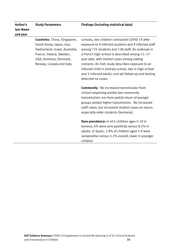| Author's<br>last Name<br>and year | <b>Study Parameters</b>                                                                                                                                                                | <b>Findings (including statistical data)</b>                                                                                                                                                                                                                                                                                                                                                                                                           |
|-----------------------------------|----------------------------------------------------------------------------------------------------------------------------------------------------------------------------------------|--------------------------------------------------------------------------------------------------------------------------------------------------------------------------------------------------------------------------------------------------------------------------------------------------------------------------------------------------------------------------------------------------------------------------------------------------------|
|                                   | <b>Countries:</b> China, Singapore,<br>South Korea, Japan, Iran,<br>Switzerland, Israel, Australia,<br>France, Ireland, Sweden,<br>USA, Germany, Denmark,<br>Norway, Canada and Italy. | schools, two children contracted COVID-19 after<br>exposure to 9 infected students and 9 infected staff<br>among 735 students and 128 staff. An outbreak in<br>a French high-school is described among 15-17<br>year olds, with limited cases among sibling<br>contacts. An Irish study describes exposure to an<br>infected child in primary school, two in high school<br>and 3 infected adults, and yet follow-up and testing<br>detected no cases. |
|                                   |                                                                                                                                                                                        | <b>Community: No increased transmission from</b><br>school-reopening amidst low community<br>transmission, nor from partial return of younger<br>groups amidst higher transmission. No increased<br>staff cases, but increased student cases on return,<br>especially older students (Germany)                                                                                                                                                         |
|                                   |                                                                                                                                                                                        | Sero-prevalence: In 455 children ages 5-19 in<br>Geneva, 6% were sero-positivity versus 8.5% in<br>adults. In Spain, 2.9% of children aged 5-9 were<br>seropositive versus 5.2% overall; lower in younger<br>children                                                                                                                                                                                                                                  |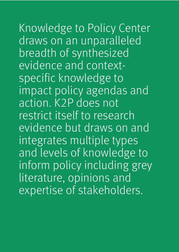Knowledge to Policy Center draws on an unparalleled breadth of synthesized evidence and contextspecific knowledge to impact policy agendas and action. K2P does not restrict itself to research evidence but draws on and integrates multiple types and levels of knowledge to inform policy including grey literature, opinions and expertise of stakeholders.